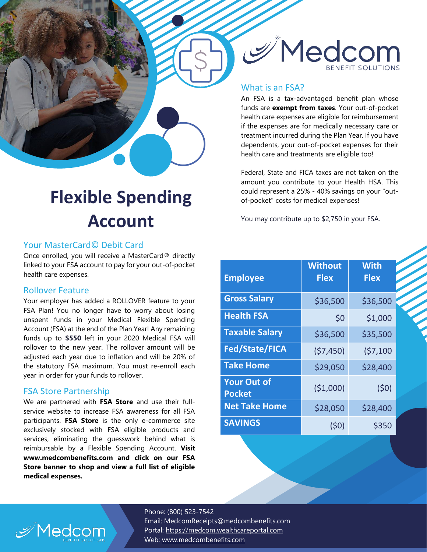

#### What is an FSA?

An FSA is a tax-advantaged benefit plan whose funds are **exempt from taxes**. Your out-of-pocket health care expenses are eligible for reimbursement if the expenses are for medically necessary care or treatment incurred during the Plan Year. If you have dependents, your out-of-pocket expenses for their health care and treatments are eligible too!

Federal, State and FICA taxes are not taken on the amount you contribute to your Health HSA. This could represent a 25% - 40% savings on your "outof-pocket" costs for medical expenses!

You may contribute up to \$2,750 in your FSA.

| <b>Employee</b>                     | <b>Without</b><br><b>Flex</b> | <b>With</b><br><b>Flex</b> |
|-------------------------------------|-------------------------------|----------------------------|
| <b>Gross Salary</b>                 | \$36,500                      | \$36,500                   |
| <b>Health FSA</b>                   | \$0                           | \$1,000                    |
| <b>Taxable Salary</b>               | \$36,500                      | \$35,500                   |
| <b>Fed/State/FICA</b>               | (57, 450)                     | (57, 100)                  |
| <b>Take Home</b>                    | \$29,050                      | \$28,400                   |
| <b>Your Out of</b><br><b>Pocket</b> | (\$1,000)                     | (50)                       |
| <b>Net Take Home</b>                | \$28,050                      | \$28,400                   |
| <b>SAVINGS</b>                      | (50)                          | \$350                      |

## **Flexible Spending Account**

#### Your MasterCard© Debit Card

Once enrolled, you will receive a MasterCard® directly linked to your FSA account to pay for your out-of-pocket health care expenses.

#### Rollover Feature

Your employer has added a ROLLOVER feature to your FSA Plan! You no longer have to worry about losing unspent funds in your Medical Flexible Spending Account (FSA) at the end of the Plan Year! Any remaining funds up to **\$550** left in your 2020 Medical FSA will rollover to the new year. The rollover amount will be adjusted each year due to inflation and will be 20% of the statutory FSA maximum. You must re-enroll each year in order for your funds to rollover.

#### FSA Store Partnership

We are partnered with **FSA Store** and use their fullservice website to increase FSA awareness for all FSA participants. **FSA Store** is the only e-commerce site exclusively stocked with FSA eligible products and services, eliminating the guesswork behind what is reimbursable by a Flexible Spending Account. **Visit www.medcombenefits.com and click on our FSA Store banner to shop and view a full list of eligible medical expenses.**

> Phone: (800) 523-7542 Email: MedcomReceipts@medcombenefits.com Portal: [https://medcom.wealthcareportal.com](https://medcom.wealthcareportal.com/) Web: [www.medcombenefits.com](http://www.medcombenefits.com/)